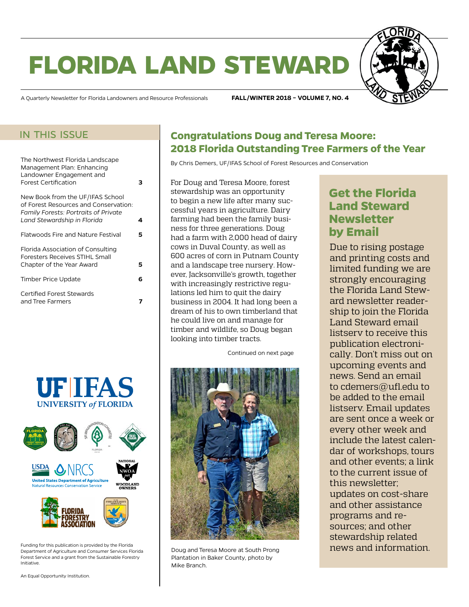# **florida land steward**



A Quarterly Newsletter for Florida Landowners and Resource Professionals **FALL/WINTER 2018 – VOLUME 7, NO. 4**

### in this issue

| The Northwest Florida Landscape<br>Management Plan: Enhancing<br>Landowner Engagement and<br><b>Forest Certification</b>                                | з |  |
|---------------------------------------------------------------------------------------------------------------------------------------------------------|---|--|
| New Book from the UF/IFAS School<br>of Forest Resources and Conservation:<br><b>Family Forests: Portraits of Private</b><br>Land Stewardship in Florida | 4 |  |
| Flatwoods Fire and Nature Festival                                                                                                                      | 5 |  |
| Florida Association of Consulting<br><b>Foresters Receives STIHL Small</b><br>Chapter of the Year Award                                                 | 5 |  |
| Timber Price Update                                                                                                                                     | 6 |  |
| Certified Forest Stewards<br>and Tree Farmers                                                                                                           |   |  |
|                                                                                                                                                         |   |  |





Funding for this publication is provided by the Florida Department of Agriculture and Consumer Services Florida Forest Service and a grant from the Sustainable Forestry Initiative.

# **Congratulations Doug and Teresa Moore: 2018 Florida Outstanding Tree Farmers of the Year**

By Chris Demers, UF/IFAS School of Forest Resources and Conservation

For Doug and Teresa Moore, forest stewardship was an opportunity to begin a new life after many successful years in agriculture. Dairy farming had been the family business for three generations. Doug had a farm with 2,000 head of dairy cows in Duval County, as well as 600 acres of corn in Putnam County and a landscape tree nursery. However, Jacksonville's growth, together with increasingly restrictive regulations led him to quit the dairy business in 2004. It had long been a dream of his to own timberland that he could live on and manage for timber and wildlife, so Doug began looking into timber tracts.

Continued on next page



Doug and Teresa Moore at South Prong Plantation in Baker County, photo by Mike Branch.

#### **in Get the Florida** tional Photography. **Land Steward Newsletter** of all, because the property was alleged to proper **by Email**

Due to rising postage and printing costs and limited funding we are minica funding we die strongly encouraging the Florida Land Steward newsletter readership to join the Florida Land Steward email listserv to receive this publication electronically. Don't miss out on upcoming events and news. Send an email to [cdemers@ufl.edu](mailto:cdemers%40ufl.edu?subject=) to be added to the email listserv. Email updates are sent once a week or every other week and include the latest calendar of workshops, tours and other events; a link to the current issue of this newsletter; updates on cost-share and other assistance programs and resources; and other stewardship related news and information.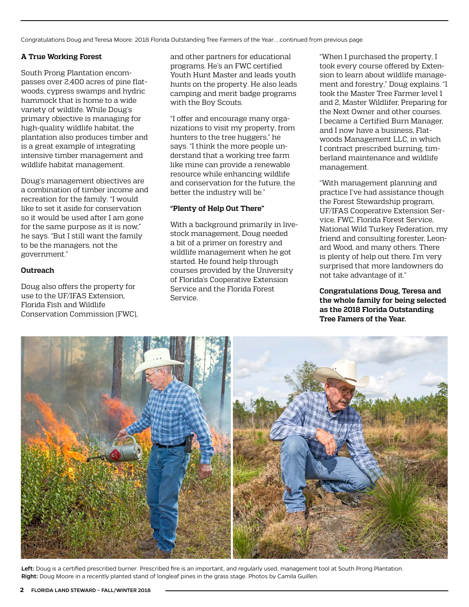Congratulations Doug and Teresa Moore: 2018 Florida Outstanding Tree Farmers of the Year....continued from previous page

#### **A True Working Forest**

South Prong Plantation encompasses over 2,400 acres of pine flatwoods, cypress swamps and hydric hammock that is home to a wide variety of wildlife. While Doug's primary objective is managing for high-quality wildlife habitat, the plantation also produces timber and is a great example of integrating intensive timber management and wildlife habitat management.

Doug's management objectives are a combination of timber income and recreation for the family. "I would like to set it aside for conservation so it would be used after I am gone for the same purpose as it is now," he says. "But I still want the family to be the managers, not the government."

#### **Outreach**

Doug also offers the property for use to the UF/IFAS Extension, Florida Fish and Wildlife Conservation Commission (FWC), and other partners for educational programs. He's an FWC certified Youth Hunt Master and leads youth hunts on the property. He also leads camping and merit badge programs with the Boy Scouts.

"I offer and encourage many organizations to visit my property, from hunters to the tree huggers," he says. "I think the more people understand that a working tree farm like mine can provide a renewable resource while enhancing wildlife and conservation for the future, the better the industry will be."

#### **"Plenty of Help Out There"**

With a background primarily in livestock management, Doug needed a bit of a primer on forestry and wildlife management when he got started. He found help through courses provided by the University of Florida's Cooperative Extension Service and the Florida Forest Service.

"When I purchased the property, I took every course offered by Extension to learn about wildlife management and forestry," Doug explains. "I took the Master Tree Farmer level 1 and 2, Master Wildlifer, Preparing for the Next Owner and other courses. I became a Certified Burn Manager, and I now have a business, Flatwoods Management LLC, in which I contract prescribed burning, timberland maintenance and wildlife management.

"With management planning and practice I've had assistance though the Forest Stewardship program, UF/IFAS Cooperative Extension Service, FWC, Florida Forest Service, National Wild Turkey Federation, my friend and consulting forester, Leonard Wood, and many others. There is plenty of help out there. I'm very surprised that more landowners do not take advantage of it."

**Congratulations Doug, Teresa and the whole family for being selected as the 2018 Florida Outstanding Tree Famers of the Year.**



Left: Doug is a certified prescribed burner. Prescribed fire is an important, and regularly used, management tool at South Prong Plantation. Right: Doug Moore in a recently planted stand of longleaf pines in the grass stage. Photos by Camila Guillen.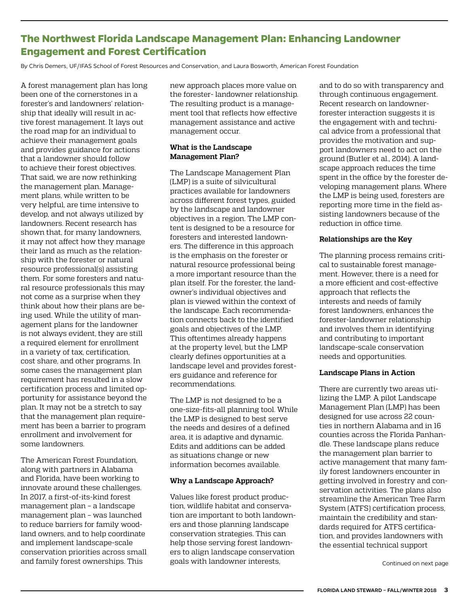## <span id="page-2-0"></span>**The Northwest Florida Landscape Management Plan: Enhancing Landowner Engagement and Forest Certification**

By Chris Demers, UF/IFAS School of Forest Resources and Conservation, and Laura Bosworth, American Forest Foundation

A forest management plan has long been one of the cornerstones in a forester's and landowners' relationship that ideally will result in active forest management. It lays out the road map for an individual to achieve their management goals and provides guidance for actions that a landowner should follow to achieve their forest objectives. That said, we are now rethinking the management plan. Management plans, while written to be very helpful, are time intensive to develop, and not always utilized by landowners. Recent research has shown that, for many landowners, it may not affect how they manage their land as much as the relationship with the forester or natural resource professional(s) assisting them. For some foresters and natural resource professionals this may not come as a surprise when they think about how their plans are being used. While the utility of management plans for the landowner is not always evident, they are still a required element for enrollment in a variety of tax, certification, cost share, and other programs. In some cases the management plan requirement has resulted in a slow certification process and limited opportunity for assistance beyond the plan. It may not be a stretch to say that the management plan requirement has been a barrier to program enrollment and involvement for some landowners.

The American Forest Foundation, along with partners in Alabama and Florida, have been working to innovate around these challenges. In 2017, a first-of-its-kind forest management plan – a landscape management plan – was launched to reduce barriers for family woodland owners, and to help coordinate and implement landscape-scale conservation priorities across small and family forest ownerships. This

new approach places more value on the forester- landowner relationship. The resulting product is a management tool that reflects how effective management assistance and active management occur.

#### **What is the Landscape Management Plan?**

The Landscape Management Plan (LMP) is a suite of silvicultural practices available for landowners across different forest types, guided by the landscape and landowner objectives in a region. The LMP content is designed to be a resource for foresters and interested landowners. The difference in this approach is the emphasis on the forester or natural resource professional being a more important resource than the plan itself. For the forester, the landowner's individual objectives and plan is viewed within the context of the landscape. Each recommendation connects back to the identified goals and objectives of the LMP. This oftentimes already happens at the property level, but the LMP clearly defines opportunities at a landscape level and provides foresters guidance and reference for recommendations.

The LMP is not designed to be a one-size-fits-all planning tool. While the LMP is designed to best serve the needs and desires of a defined area, it is adaptive and dynamic. Edits and additions can be added as situations change or new information becomes available.

#### **Why a Landscape Approach?**

Values like forest product production, wildlife habitat and conservation are important to both landowners and those planning landscape conservation strategies. This can help those serving forest landowners to align landscape conservation goals with landowner interests,

and to do so with transparency and through continuous engagement. Recent research on landownerforester interaction suggests it is the engagement with and technical advice from a professional that provides the motivation and support landowners need to act on the ground (Butler et al., 2014). A landscape approach reduces the time spent in the office by the forester developing management plans. Where the LMP is being used, foresters are reporting more time in the field assisting landowners because of the reduction in office time.

#### **Relationships are the Key**

The planning process remains critical to sustainable forest management. However, there is a need for a more efficient and cost-effective approach that reflects the interests and needs of family forest landowners, enhances the forester-landowner relationship and involves them in identifying and contributing to important landscape-scale conservation needs and opportunities.

#### **Landscape Plans in Action**

There are currently two areas utilizing the LMP. A pilot Landscape Management Plan (LMP) has been designed for use across 22 counties in northern Alabama and in 16 counties across the Florida Panhandle. These landscape plans reduce the management plan barrier to active management that many family forest landowners encounter in getting involved in forestry and conservation activities. The plans also streamline the American Tree Farm System (ATFS) certification process, maintain the credibility and standards required for ATFS certification, and provides landowners with the essential technical support

Continued on next page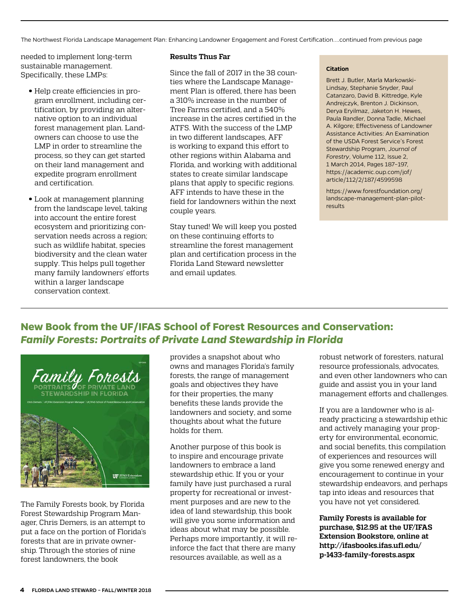<span id="page-3-0"></span>The Northwest Florida Landscape Management Plan: Enhancing Landowner Engagement and Forest Certification....continued from previous page

needed to implement long-term sustainable management. Specifically, these LMPs:

- Help create efficiencies in program enrollment, including certification, by providing an alternative option to an individual forest management plan. Landowners can choose to use the LMP in order to streamline the process, so they can get started on their land management and expedite program enrollment and certification.
- Look at management planning from the landscape level, taking into account the entire forest ecosystem and prioritizing conservation needs across a region; such as wildlife habitat, species biodiversity and the clean water supply. This helps pull together many family landowners' efforts within a larger landscape conservation context.

#### **Results Thus Far**

Since the fall of 2017 in the 38 counties where the Landscape Management Plan is offered, there has been a 310% increase in the number of Tree Farms certified, and a 540% increase in the acres certified in the ATFS. With the success of the LMP in two different landscapes, AFF is working to expand this effort to other regions within Alabama and Florida, and working with additional states to create similar landscape plans that apply to specific regions. AFF intends to have these in the field for landowners within the next couple years.

Stay tuned! We will keep you posted on these continuing efforts to streamline the forest management plan and certification process in the Florida Land Steward newsletter and email updates.

#### **Citation**

Brett J. Butler, Marla Markowski-Lindsay, Stephanie Snyder, Paul Catanzaro, David B. Kittredge, Kyle Andrejczyk, Brenton J. Dickinson, Derya Eryilmaz, Jaketon H. Hewes, Paula Randler, Donna Tadle, Michael A. Kilgore; Effectiveness of Landowner Assistance Activities: An Examination of the USDA Forest Service's Forest Stewardship Program, *Journal of Forestry*, Volume 112, Issue 2, 1 March 2014, Pages 187–197, [https://academic.oup.com/jof/](https://academic.oup.com/jof/article/112/2/187/4599598) [article/112/2/187/4599598](https://academic.oup.com/jof/article/112/2/187/4599598)

[https://www.forestfoundation.org/](https://www.forestfoundation.org/landscape-management-plan-pilot-results) [landscape-management-plan-pilot](https://www.forestfoundation.org/landscape-management-plan-pilot-results)[results](https://www.forestfoundation.org/landscape-management-plan-pilot-results)

# **New Book from the UF/IFAS School of Forest Resources and Conservation:**  *Family Forests: Portraits of Private Land Stewardship in Florida*



The Family Forests book, by Florida Forest Stewardship Program Manager, Chris Demers, is an attempt to put a face on the portion of Florida's forests that are in private ownership. Through the stories of nine forest landowners, the book

provides a snapshot about who owns and manages Florida's family forests, the range of management goals and objectives they have for their properties, the many benefits these lands provide the landowners and society, and some thoughts about what the future holds for them.

Another purpose of this book is to inspire and encourage private landowners to embrace a land stewardship ethic. If you or your family have just purchased a rural property for recreational or investment purposes and are new to the idea of land stewardship, this book will give you some information and ideas about what may be possible. Perhaps more importantly, it will reinforce the fact that there are many resources available, as well as a

robust network of foresters, natural resource professionals, advocates, and even other landowners who can guide and assist you in your land management efforts and challenges.

If you are a landowner who is already practicing a stewardship ethic and actively managing your property for environmental, economic, and social benefits, this compilation of experiences and resources will give you some renewed energy and encouragement to continue in your stewardship endeavors, and perhaps tap into ideas and resources that you have not yet considered.

**Family Forests is available for purchase, \$12.95 at the UF/IFAS Extension Bookstore, online at [http://ifasbooks.ifas.ufl.edu/](http://ifasbooks.ifas.ufl.edu/p-1433-family-forests.aspx) [p-1433-family-forests.aspx](http://ifasbooks.ifas.ufl.edu/p-1433-family-forests.aspx)**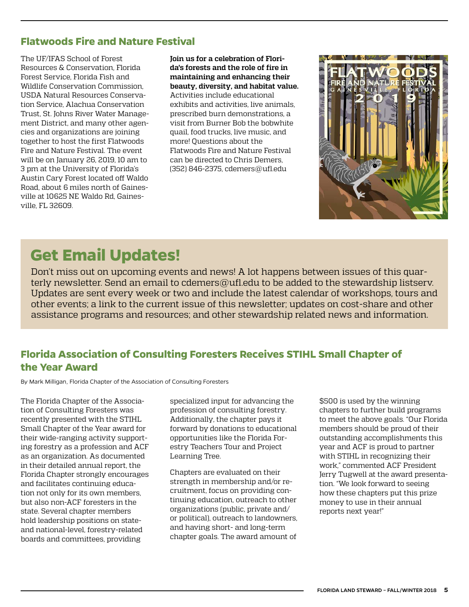# <span id="page-4-0"></span>**Flatwoods Fire and Nature Festival**

The UF/IFAS School of Forest Resources & Conservation, Florida Forest Service, Florida Fish and Wildlife Conservation Commission, USDA Natural Resources Conservation Service, Alachua Conservation Trust, St. Johns River Water Management District, and many other agencies and organizations are joining together to host the first Flatwoods Fire and Nature Festival. The event will be on January 26, 2019, 10 am to 3 pm at the University of Florida's Austin Cary Forest located off Waldo Road, about 6 miles north of Gainesville at 10625 NE Waldo Rd, Gainesville, FL 32609.

**Join us for a celebration of Florida's forests and the role of fire in maintaining and enhancing their beauty, diversity, and habitat value.** Activities include educational exhibits and activities, live animals, prescribed burn demonstrations, a visit from Burner Bob the bobwhite quail, food trucks, live music, and more! Questions about the Flatwoods Fire and Nature Festival can be directed to Chris Demers, (352) 846-2375, [cdemers@ufl.edu](mailto:cdemers%40ufl.edu?subject=)



# **Get Email Updates!**

Don't miss out on upcoming events and news! A lot happens between issues of this quarterly newsletter. Send an email to [cdemers@ufl.edu](mailto:cdemers@ufl.edu) to be added to the stewardship listsery. Updates are sent every week or two and include the latest calendar of workshops, tours and other events; a link to the current issue of this newsletter; updates on cost-share and other assistance programs and resources; and other stewardship related news and information.

# **Florida Association of Consulting Foresters Receives STIHL Small Chapter of the Year Award**

By Mark Milligan, Florida Chapter of the Association of Consulting Foresters

The Florida Chapter of the Association of Consulting Foresters was recently presented with the STIHL Small Chapter of the Year award for their wide-ranging activity supporting forestry as a profession and ACF as an organization. As documented in their detailed annual report, the Florida Chapter strongly encourages and facilitates continuing education not only for its own members, but also non-ACF foresters in the state. Several chapter members hold leadership positions on stateand national-level, forestry-related boards and committees, providing

specialized input for advancing the profession of consulting forestry. Additionally, the chapter pays it forward by donations to educational opportunities like the Florida Forestry Teachers Tour and Project Learning Tree.

Chapters are evaluated on their strength in membership and/or recruitment, focus on providing continuing education, outreach to other organizations (public, private and/ or political), outreach to landowners, and having short- and long-term chapter goals. The award amount of

\$500 is used by the winning chapters to further build programs to meet the above goals. "Our Florida members should be proud of their outstanding accomplishments this year and ACF is proud to partner with STIHL in recognizing their work," commented ACF President Jerry Tugwell at the award presentation. "We look forward to seeing how these chapters put this prize money to use in their annual reports next year!"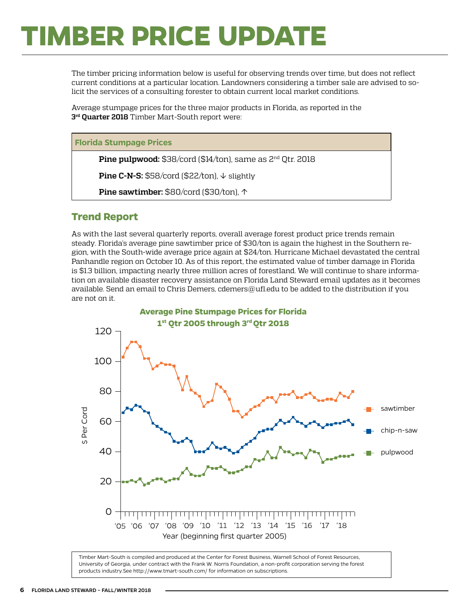# <span id="page-5-0"></span>**TIMBER PRICE UPDATE**

The timber pricing information below is useful for observing trends over time, but does not reflect current conditions at a particular location. Landowners considering a timber sale are advised to solicit the services of a consulting forester to obtain current local market conditions.

Average stumpage prices for the three major products in Florida, as reported in the **3rd Quarter 2018** Timber Mart-South report were:

#### **Florida Stumpage Prices**

**Pine pulpwood:** \$38/cord (\$14/ton), same as 2<sup>nd</sup> Qtr. 2018

**Pine C-N-S:** \$58/cord (\$22/ton), ↓ slightly

**Pine sawtimber:** \$80/cord (\$30/ton), ↑

### **Trend Report**

As with the last several quarterly reports, overall average forest product price trends remain steady. Florida's average pine sawtimber price of \$30/ton is again the highest in the Southern region, with the South-wide average price again at \$24/ton. Hurricane Michael devastated the central Panhandle region on October 10. As of this report, the estimated value of timber damage in Florida is \$1.3 billion, impacting nearly three million acres of forestland. We will continue to share information on available disaster recovery assistance on Florida Land Steward email updates as it becomes available. Send an email to Chris Demers, [cdemers@ufl.edu](mailto:cdemers%40ufl.edu?subject=) to be added to the distribution if you are not on it.



Timber Mart-South is compiled and produced at the Center for Forest Business, Warnell School of Forest Resources, University of Georgia, under contract with the Frank W. Norris Foundation, a non-profit corporation serving the forest products industry.See<http://www.tmart-south.com/>for information on subscriptions.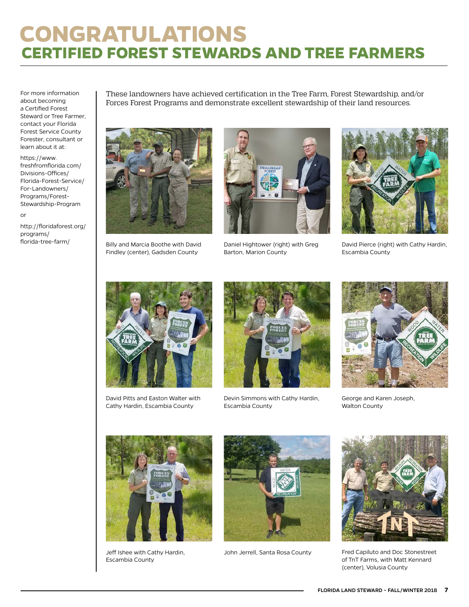# <span id="page-6-0"></span>**CONGRATULATIONS CERTIFIED FOREST STEWARDS AND TREE FARMERS**

For more information about becoming a Certified Forest Steward or Tree Farmer, contact your Florida Forest Service County Forester, consultant or learn about it at:

[https://www.](https://www.freshfromflorida.com/Divisions-Offices/Florida-Forest-Service/For-Landowners/Programs/Forest-Stewardship-Program) [freshfromflorida.com/](https://www.freshfromflorida.com/Divisions-Offices/Florida-Forest-Service/For-Landowners/Programs/Forest-Stewardship-Program) [Divisions-Offices/](https://www.freshfromflorida.com/Divisions-Offices/Florida-Forest-Service/For-Landowners/Programs/Forest-Stewardship-Program) [Florida-Forest-Service/](https://www.freshfromflorida.com/Divisions-Offices/Florida-Forest-Service/For-Landowners/Programs/Forest-Stewardship-Program) [For-Landowners/](https://www.freshfromflorida.com/Divisions-Offices/Florida-Forest-Service/For-Landowners/Programs/Forest-Stewardship-Program) [Programs/Forest-](https://www.freshfromflorida.com/Divisions-Offices/Florida-Forest-Service/For-Landowners/Programs/Forest-Stewardship-Program)[Stewardship-Program](https://www.freshfromflorida.com/Divisions-Offices/Florida-Forest-Service/For-Landowners/Programs/Forest-Stewardship-Program)

or

[http://floridaforest.org/](http://floridaforest.org/programs/florida-tree-farm/) [programs/](http://floridaforest.org/programs/florida-tree-farm/)

These landowners have achieved certification in the Tree Farm, Forest Stewardship, and/or Forces Forest Programs and demonstrate excellent stewardship of their land resources.



[florida-tree-farm/](http://floridaforest.org/programs/florida-tree-farm/) Billy and Marcia Boothe with David Findley (center), Gadsden County



Daniel Hightower (right) with Greg Barton, Marion County



David Pierce (right) with Cathy Hardin, Escambia County



David Pitts and Easton Walter with Cathy Hardin, Escambia County



Devin Simmons with Cathy Hardin, Escambia County



George and Karen Joseph, Walton County



Jeff Ishee with Cathy Hardin, Escambia County



John Jerrell, Santa Rosa County



Fred Capiluto and Doc Stonestreet of TnT Farms, with Matt Kennard (center), Volusia County